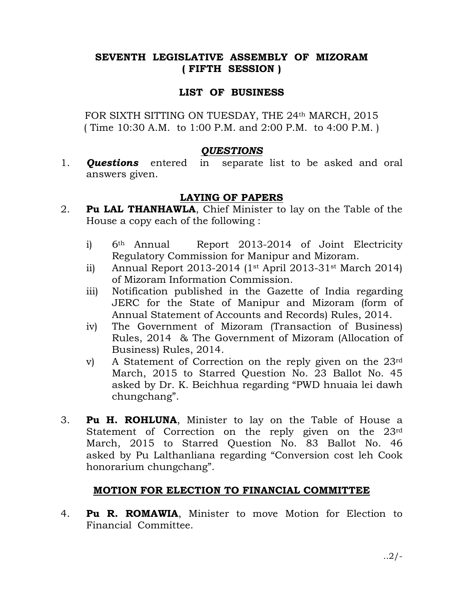# SEVENTH LEGISLATIVE ASSEMBLY OF MIZORAM ( FIFTH SESSION )

### LIST OF BUSINESS

FOR SIXTH SITTING ON TUESDAY, THE 24th MARCH, 2015 ( Time 10:30 A.M. to 1:00 P.M. and 2:00 P.M. to 4:00 P.M. )

#### **QUESTIONS**

1. **Questions** entered in separate list to be asked and oral answers given.

## LAYING OF PAPERS

- 2. **Pu LAL THANHAWLA**, Chief Minister to lay on the Table of the House a copy each of the following :
	- i) 6th Annual Report 2013-2014 of Joint Electricity Regulatory Commission for Manipur and Mizoram.
	- ii) Annual Report 2013-2014 (1st April 2013-31st March 2014) of Mizoram Information Commission.
	- iii) Notification published in the Gazette of India regarding JERC for the State of Manipur and Mizoram (form of Annual Statement of Accounts and Records) Rules, 2014.
	- iv) The Government of Mizoram (Transaction of Business) Rules, 2014 & The Government of Mizoram (Allocation of Business) Rules, 2014.
	- v) A Statement of Correction on the reply given on the 23rd March, 2015 to Starred Question No. 23 Ballot No. 45 asked by Dr. K. Beichhua regarding "PWD hnuaia lei dawh chungchang".
- 3. Pu H. ROHLUNA, Minister to lay on the Table of House a Statement of Correction on the reply given on the 23rd March, 2015 to Starred Question No. 83 Ballot No. 46 asked by Pu Lalthanliana regarding "Conversion cost leh Cook honorarium chungchang".

## MOTION FOR ELECTION TO FINANCIAL COMMITTEE

4. **Pu R. ROMAWIA**, Minister to move Motion for Election to Financial Committee.